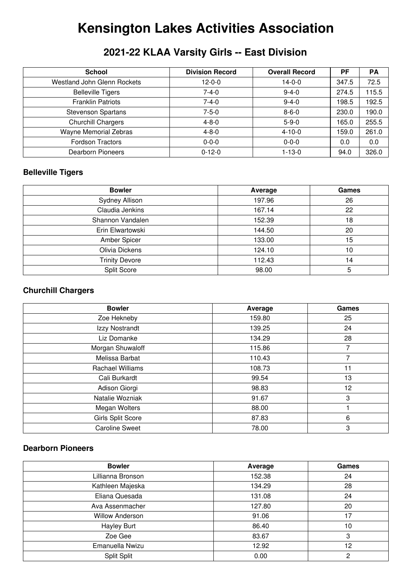# **Kensington Lakes Activities Association**

# **2021-22 KLAA Varsity Girls -- East Division**

| <b>School</b>               | <b>Division Record</b> | <b>Overall Record</b> | <b>PF</b> | <b>PA</b> |
|-----------------------------|------------------------|-----------------------|-----------|-----------|
| Westland John Glenn Rockets | $12 - 0 - 0$           | $14 - 0 - 0$          | 347.5     | 72.5      |
| <b>Belleville Tigers</b>    | $7 - 4 - 0$            | $9 - 4 - 0$           | 274.5     | 115.5     |
| <b>Franklin Patriots</b>    | $7 - 4 - 0$            | $9 - 4 - 0$           | 198.5     | 192.5     |
| <b>Stevenson Spartans</b>   | $7 - 5 - 0$            | $8 - 6 - 0$           | 230.0     | 190.0     |
| Churchill Chargers          | $4 - 8 - 0$            | $5 - 9 - 0$           | 165.0     | 255.5     |
| Wayne Memorial Zebras       | $4 - 8 - 0$            | $4 - 10 - 0$          | 159.0     | 261.0     |
| <b>Fordson Tractors</b>     | $0 - 0 - 0$            | $0 - 0 - 0$           | 0.0       | 0.0       |
| Dearborn Pioneers           | $0 - 12 - 0$           | $1 - 13 - 0$          | 94.0      | 326.0     |

## **Belleville Tigers**

| <b>Bowler</b>         | Average | Games |
|-----------------------|---------|-------|
| Sydney Allison        | 197.96  | 26    |
| Claudia Jenkins       | 167.14  | 22    |
| Shannon Vandalen      | 152.39  | 18    |
| Erin Elwartowski      | 144.50  | 20    |
| Amber Spicer          | 133.00  | 15    |
| Olivia Dickens        | 124.10  | 10    |
| <b>Trinity Devore</b> | 112.43  | 14    |
| Split Score           | 98.00   | 5     |

#### **Churchill Chargers**

| <b>Bowler</b>           | Average | Games |
|-------------------------|---------|-------|
| Zoe Hekneby             | 159.80  | 25    |
| Izzy Nostrandt          | 139.25  | 24    |
| Liz Domanke             | 134.29  | 28    |
| Morgan Shuwaloff        | 115.86  | 7     |
| Melissa Barbat          | 110.43  | 7     |
| <b>Rachael Williams</b> | 108.73  | 11    |
| Cali Burkardt           | 99.54   | 13    |
| Adison Giorgi           | 98.83   | 12    |
| Natalie Wozniak         | 91.67   | 3     |
| Megan Wolters           | 88.00   |       |
| Girls Split Score       | 87.83   | 6     |
| <b>Caroline Sweet</b>   | 78.00   | 3     |

#### **Dearborn Pioneers**

| <b>Bowler</b>          | Average | Games |
|------------------------|---------|-------|
| Lillianna Bronson      | 152.38  | 24    |
| Kathleen Majeska       | 134.29  | 28    |
| Eliana Quesada         | 131.08  | 24    |
| Ava Assenmacher        | 127.80  | 20    |
| <b>Willow Anderson</b> | 91.06   | 17    |
| <b>Hayley Burt</b>     | 86.40   | 10    |
| Zoe Gee                | 83.67   | 3     |
| Emanuella Nwizu        | 12.92   | 12    |
| Split Split            | 0.00    | 2     |